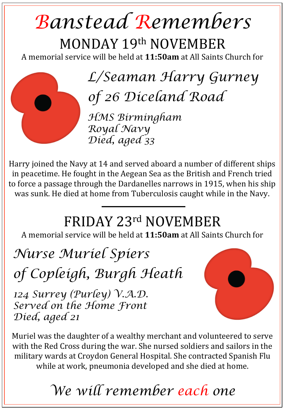## *Banstead Remembers*  MONDAY 19th NOVEMBER

A memorial service will be held at **11:50am** at All Saints Church for



*HMS Birmingham Royal Navy Died, aged 33* 

Harry joined the Navy at 14 and served aboard a number of different ships in peacetime. He fought in the Aegean Sea as the British and French tried to force a passage through the Dardanelles narrows in 1915, when his ship was sunk. He died at home from Tuberculosis caught while in the Navy.

## FRIDAY 23rd NOVEMBER

A memorial service will be held at **11:50am** at All Saints Church for

*Nurse Muriel Spiers of Copleigh, Burgh Heath* 

*124 Surrey (Purley) V.A.D. Served on the Home Front Died, aged 21* 

Muriel was the daughter of a wealthy merchant and volunteered to serve with the Red Cross during the war. She nursed soldiers and sailors in the military wards at Croydon General Hospital. She contracted Spanish Flu while at work, pneumonia developed and she died at home.

*We will remember each one*